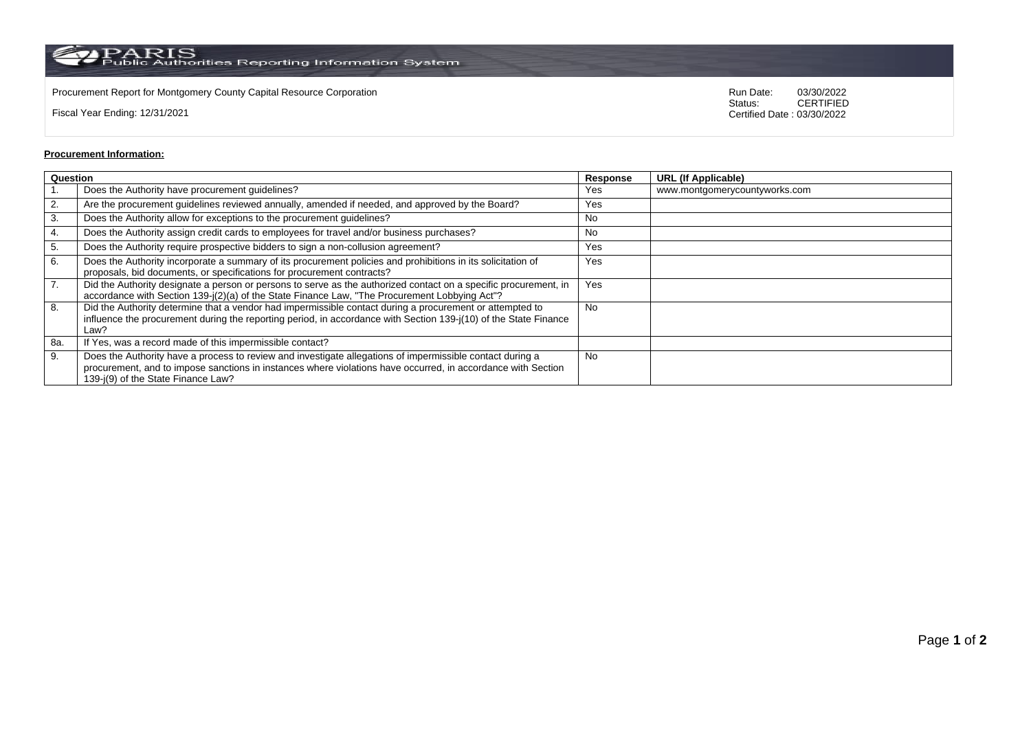$\rm PARS$  Public Authorities Reporting Information System

Procurement Report for Montgomery County Capital Resource Corporation **Company County Capital Resource Corporation** Run Date: 03/30/2022<br>Status: CERTIFIED

Fiscal Year Ending: 12/31/2021

CERTIFIED Certified Date : 03/30/2022

## **Procurement Information:**

| Question |                                                                                                                                                                                                                                                                 | Response | <b>URL (If Applicable)</b>    |
|----------|-----------------------------------------------------------------------------------------------------------------------------------------------------------------------------------------------------------------------------------------------------------------|----------|-------------------------------|
|          | Does the Authority have procurement guidelines?                                                                                                                                                                                                                 | Yes      | www.montgomerycountyworks.com |
| 2.       | Are the procurement guidelines reviewed annually, amended if needed, and approved by the Board?                                                                                                                                                                 | Yes      |                               |
| 3.       | Does the Authority allow for exceptions to the procurement guidelines?                                                                                                                                                                                          | No       |                               |
| 4.       | Does the Authority assign credit cards to employees for travel and/or business purchases?                                                                                                                                                                       | No       |                               |
| 5.       | Does the Authority require prospective bidders to sign a non-collusion agreement?                                                                                                                                                                               | Yes      |                               |
| 6.       | Does the Authority incorporate a summary of its procurement policies and prohibitions in its solicitation of<br>proposals, bid documents, or specifications for procurement contracts?                                                                          | Yes      |                               |
| 7.       | Did the Authority designate a person or persons to serve as the authorized contact on a specific procurement, in<br>accordance with Section 139-j(2)(a) of the State Finance Law, "The Procurement Lobbying Act"?                                               | Yes      |                               |
| 8.       | Did the Authority determine that a vendor had impermissible contact during a procurement or attempted to<br>influence the procurement during the reporting period, in accordance with Section 139-j(10) of the State Finance<br>Law?                            | No       |                               |
| 8a.      | If Yes, was a record made of this impermissible contact?                                                                                                                                                                                                        |          |                               |
| 9.       | Does the Authority have a process to review and investigate allegations of impermissible contact during a<br>procurement, and to impose sanctions in instances where violations have occurred, in accordance with Section<br>139-j(9) of the State Finance Law? | No       |                               |